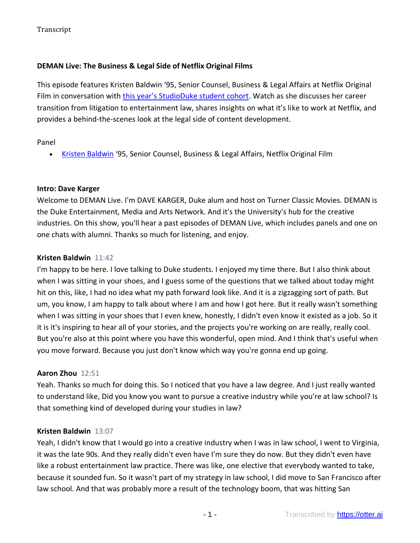# **DEMAN Live: The Business & Legal Side of Netflix Original Films**

This episode features Kristen Baldwin '95, Senior Counsel, Business & Legal Affairs at Netflix Original Film in conversation with [this year's StudioDuke student cohort](https://arts.duke.edu/news/announcing-the-2020-21-studioduke-student-cohort/). Watch as she discusses her career transition from litigation to entertainment law, shares insights on what it's like to work at Netflix, and provides a behind-the-scenes look at the legal side of content development.

# Panel

• [Kristen Baldwin](https://www.linkedin.com/in/kristen-baldwin-aaaa9b8a/) '95, Senior Counsel, Business & Legal Affairs, Netflix Original Film

# **Intro: Dave Karger**

Welcome to DEMAN Live. I'm DAVE KARGER, Duke alum and host on Turner Classic Movies. DEMAN is the Duke Entertainment, Media and Arts Network. And it's the University's hub for the creative industries. On this show, you'll hear a past episodes of DEMAN Live, which includes panels and one on one chats with alumni. Thanks so much for listening, and enjoy.

# **Kristen Baldwin** 11:42

I'm happy to be here. I love talking to Duke students. I enjoyed my time there. But I also think about when I was sitting in your shoes, and I guess some of the questions that we talked about today might hit on this, like, I had no idea what my path forward look like. And it is a zigzagging sort of path. But um, you know, I am happy to talk about where I am and how I got here. But it really wasn't something when I was sitting in your shoes that I even knew, honestly, I didn't even know it existed as a job. So it it is it's inspiring to hear all of your stories, and the projects you're working on are really, really cool. But you're also at this point where you have this wonderful, open mind. And I think that's useful when you move forward. Because you just don't know which way you're gonna end up going.

# **Aaron Zhou** 12:51

Yeah. Thanks so much for doing this. So I noticed that you have a law degree. And I just really wanted to understand like, Did you know you want to pursue a creative industry while you're at law school? Is that something kind of developed during your studies in law?

# **Kristen Baldwin** 13:07

Yeah, I didn't know that I would go into a creative industry when I was in law school, I went to Virginia, it was the late 90s. And they really didn't even have I'm sure they do now. But they didn't even have like a robust entertainment law practice. There was like, one elective that everybody wanted to take, because it sounded fun. So it wasn't part of my strategy in law school, I did move to San Francisco after law school. And that was probably more a result of the technology boom, that was hitting San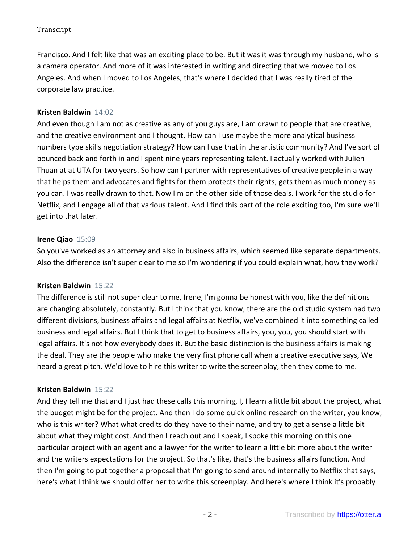Francisco. And I felt like that was an exciting place to be. But it was it was through my husband, who is a camera operator. And more of it was interested in writing and directing that we moved to Los Angeles. And when I moved to Los Angeles, that's where I decided that I was really tired of the corporate law practice.

# **Kristen Baldwin** 14:02

And even though I am not as creative as any of you guys are, I am drawn to people that are creative, and the creative environment and I thought, How can I use maybe the more analytical business numbers type skills negotiation strategy? How can I use that in the artistic community? And I've sort of bounced back and forth in and I spent nine years representing talent. I actually worked with Julien Thuan at at UTA for two years. So how can I partner with representatives of creative people in a way that helps them and advocates and fights for them protects their rights, gets them as much money as you can. I was really drawn to that. Now I'm on the other side of those deals. I work for the studio for Netflix, and I engage all of that various talent. And I find this part of the role exciting too, I'm sure we'll get into that later.

### **Irene Qiao** 15:09

So you've worked as an attorney and also in business affairs, which seemed like separate departments. Also the difference isn't super clear to me so I'm wondering if you could explain what, how they work?

### **Kristen Baldwin** 15:22

The difference is still not super clear to me, Irene, I'm gonna be honest with you, like the definitions are changing absolutely, constantly. But I think that you know, there are the old studio system had two different divisions, business affairs and legal affairs at Netflix, we've combined it into something called business and legal affairs. But I think that to get to business affairs, you, you, you should start with legal affairs. It's not how everybody does it. But the basic distinction is the business affairs is making the deal. They are the people who make the very first phone call when a creative executive says, We heard a great pitch. We'd love to hire this writer to write the screenplay, then they come to me.

### **Kristen Baldwin** 15:22

And they tell me that and I just had these calls this morning, I, I learn a little bit about the project, what the budget might be for the project. And then I do some quick online research on the writer, you know, who is this writer? What what credits do they have to their name, and try to get a sense a little bit about what they might cost. And then I reach out and I speak, I spoke this morning on this one particular project with an agent and a lawyer for the writer to learn a little bit more about the writer and the writers expectations for the project. So that's like, that's the business affairs function. And then I'm going to put together a proposal that I'm going to send around internally to Netflix that says, here's what I think we should offer her to write this screenplay. And here's where I think it's probably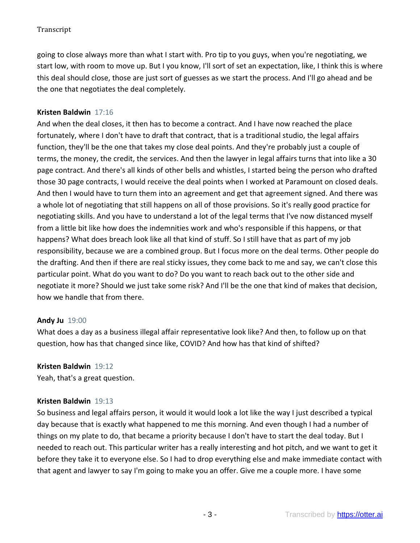going to close always more than what I start with. Pro tip to you guys, when you're negotiating, we start low, with room to move up. But I you know, I'll sort of set an expectation, like, I think this is where this deal should close, those are just sort of guesses as we start the process. And I'll go ahead and be the one that negotiates the deal completely.

# **Kristen Baldwin** 17:16

And when the deal closes, it then has to become a contract. And I have now reached the place fortunately, where I don't have to draft that contract, that is a traditional studio, the legal affairs function, they'll be the one that takes my close deal points. And they're probably just a couple of terms, the money, the credit, the services. And then the lawyer in legal affairs turns that into like a 30 page contract. And there's all kinds of other bells and whistles, I started being the person who drafted those 30 page contracts, I would receive the deal points when I worked at Paramount on closed deals. And then I would have to turn them into an agreement and get that agreement signed. And there was a whole lot of negotiating that still happens on all of those provisions. So it's really good practice for negotiating skills. And you have to understand a lot of the legal terms that I've now distanced myself from a little bit like how does the indemnities work and who's responsible if this happens, or that happens? What does breach look like all that kind of stuff. So I still have that as part of my job responsibility, because we are a combined group. But I focus more on the deal terms. Other people do the drafting. And then if there are real sticky issues, they come back to me and say, we can't close this particular point. What do you want to do? Do you want to reach back out to the other side and negotiate it more? Should we just take some risk? And I'll be the one that kind of makes that decision, how we handle that from there.

### **Andy Ju** 19:00

What does a day as a business illegal affair representative look like? And then, to follow up on that question, how has that changed since like, COVID? And how has that kind of shifted?

### **Kristen Baldwin** 19:12

Yeah, that's a great question.

### **Kristen Baldwin** 19:13

So business and legal affairs person, it would it would look a lot like the way I just described a typical day because that is exactly what happened to me this morning. And even though I had a number of things on my plate to do, that became a priority because I don't have to start the deal today. But I needed to reach out. This particular writer has a really interesting and hot pitch, and we want to get it before they take it to everyone else. So I had to drop everything else and make immediate contact with that agent and lawyer to say I'm going to make you an offer. Give me a couple more. I have some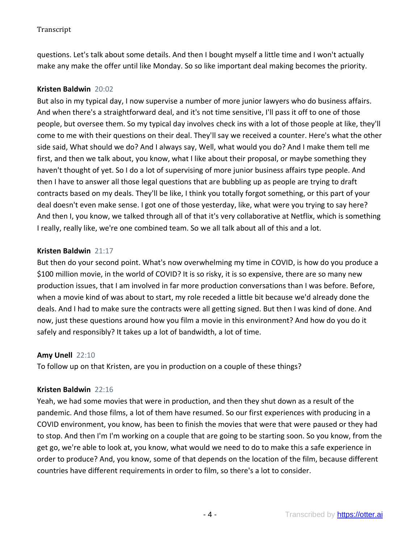questions. Let's talk about some details. And then I bought myself a little time and I won't actually make any make the offer until like Monday. So so like important deal making becomes the priority.

## **Kristen Baldwin** 20:02

But also in my typical day, I now supervise a number of more junior lawyers who do business affairs. And when there's a straightforward deal, and it's not time sensitive, I'll pass it off to one of those people, but oversee them. So my typical day involves check ins with a lot of those people at like, they'll come to me with their questions on their deal. They'll say we received a counter. Here's what the other side said, What should we do? And I always say, Well, what would you do? And I make them tell me first, and then we talk about, you know, what I like about their proposal, or maybe something they haven't thought of yet. So I do a lot of supervising of more junior business affairs type people. And then I have to answer all those legal questions that are bubbling up as people are trying to draft contracts based on my deals. They'll be like, I think you totally forgot something, or this part of your deal doesn't even make sense. I got one of those yesterday, like, what were you trying to say here? And then I, you know, we talked through all of that it's very collaborative at Netflix, which is something I really, really like, we're one combined team. So we all talk about all of this and a lot.

# **Kristen Baldwin** 21:17

But then do your second point. What's now overwhelming my time in COVID, is how do you produce a \$100 million movie, in the world of COVID? It is so risky, it is so expensive, there are so many new production issues, that I am involved in far more production conversations than I was before. Before, when a movie kind of was about to start, my role receded a little bit because we'd already done the deals. And I had to make sure the contracts were all getting signed. But then I was kind of done. And now, just these questions around how you film a movie in this environment? And how do you do it safely and responsibly? It takes up a lot of bandwidth, a lot of time.

### **Amy Unell** 22:10

To follow up on that Kristen, are you in production on a couple of these things?

### **Kristen Baldwin** 22:16

Yeah, we had some movies that were in production, and then they shut down as a result of the pandemic. And those films, a lot of them have resumed. So our first experiences with producing in a COVID environment, you know, has been to finish the movies that were that were paused or they had to stop. And then I'm I'm working on a couple that are going to be starting soon. So you know, from the get go, we're able to look at, you know, what would we need to do to make this a safe experience in order to produce? And, you know, some of that depends on the location of the film, because different countries have different requirements in order to film, so there's a lot to consider.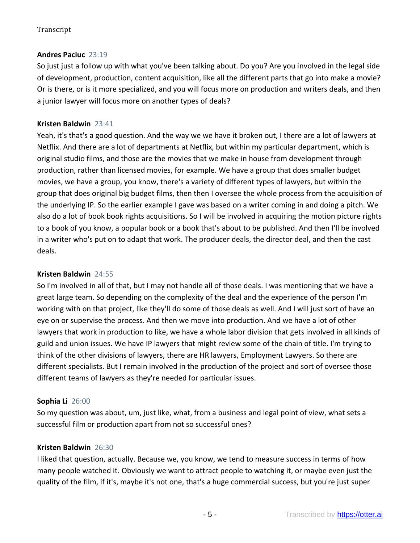# **Andres Paciuc** 23:19

So just just a follow up with what you've been talking about. Do you? Are you involved in the legal side of development, production, content acquisition, like all the different parts that go into make a movie? Or is there, or is it more specialized, and you will focus more on production and writers deals, and then a junior lawyer will focus more on another types of deals?

# **Kristen Baldwin** 23:41

Yeah, it's that's a good question. And the way we we have it broken out, I there are a lot of lawyers at Netflix. And there are a lot of departments at Netflix, but within my particular department, which is original studio films, and those are the movies that we make in house from development through production, rather than licensed movies, for example. We have a group that does smaller budget movies, we have a group, you know, there's a variety of different types of lawyers, but within the group that does original big budget films, then then I oversee the whole process from the acquisition of the underlying IP. So the earlier example I gave was based on a writer coming in and doing a pitch. We also do a lot of book book rights acquisitions. So I will be involved in acquiring the motion picture rights to a book of you know, a popular book or a book that's about to be published. And then I'll be involved in a writer who's put on to adapt that work. The producer deals, the director deal, and then the cast deals.

### **Kristen Baldwin** 24:55

So I'm involved in all of that, but I may not handle all of those deals. I was mentioning that we have a great large team. So depending on the complexity of the deal and the experience of the person I'm working with on that project, like they'll do some of those deals as well. And I will just sort of have an eye on or supervise the process. And then we move into production. And we have a lot of other lawyers that work in production to like, we have a whole labor division that gets involved in all kinds of guild and union issues. We have IP lawyers that might review some of the chain of title. I'm trying to think of the other divisions of lawyers, there are HR lawyers, Employment Lawyers. So there are different specialists. But I remain involved in the production of the project and sort of oversee those different teams of lawyers as they're needed for particular issues.

# **Sophia Li** 26:00

So my question was about, um, just like, what, from a business and legal point of view, what sets a successful film or production apart from not so successful ones?

### **Kristen Baldwin** 26:30

I liked that question, actually. Because we, you know, we tend to measure success in terms of how many people watched it. Obviously we want to attract people to watching it, or maybe even just the quality of the film, if it's, maybe it's not one, that's a huge commercial success, but you're just super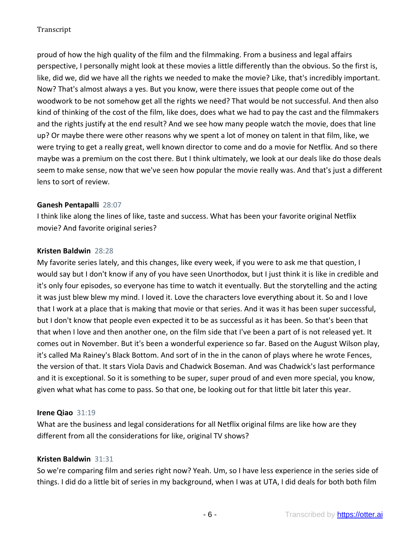proud of how the high quality of the film and the filmmaking. From a business and legal affairs perspective, I personally might look at these movies a little differently than the obvious. So the first is, like, did we, did we have all the rights we needed to make the movie? Like, that's incredibly important. Now? That's almost always a yes. But you know, were there issues that people come out of the woodwork to be not somehow get all the rights we need? That would be not successful. And then also kind of thinking of the cost of the film, like does, does what we had to pay the cast and the filmmakers and the rights justify at the end result? And we see how many people watch the movie, does that line up? Or maybe there were other reasons why we spent a lot of money on talent in that film, like, we were trying to get a really great, well known director to come and do a movie for Netflix. And so there maybe was a premium on the cost there. But I think ultimately, we look at our deals like do those deals seem to make sense, now that we've seen how popular the movie really was. And that's just a different lens to sort of review.

### **Ganesh Pentapalli** 28:07

I think like along the lines of like, taste and success. What has been your favorite original Netflix movie? And favorite original series?

# **Kristen Baldwin** 28:28

My favorite series lately, and this changes, like every week, if you were to ask me that question, I would say but I don't know if any of you have seen Unorthodox, but I just think it is like in credible and it's only four episodes, so everyone has time to watch it eventually. But the storytelling and the acting it was just blew blew my mind. I loved it. Love the characters love everything about it. So and I love that I work at a place that is making that movie or that series. And it was it has been super successful, but I don't know that people even expected it to be as successful as it has been. So that's been that that when I love and then another one, on the film side that I've been a part of is not released yet. It comes out in November. But it's been a wonderful experience so far. Based on the August Wilson play, it's called Ma Rainey's Black Bottom. And sort of in the in the canon of plays where he wrote Fences, the version of that. It stars Viola Davis and Chadwick Boseman. And was Chadwick's last performance and it is exceptional. So it is something to be super, super proud of and even more special, you know, given what what has come to pass. So that one, be looking out for that little bit later this year.

# **Irene Qiao** 31:19

What are the business and legal considerations for all Netflix original films are like how are they different from all the considerations for like, original TV shows?

### **Kristen Baldwin** 31:31

So we're comparing film and series right now? Yeah. Um, so I have less experience in the series side of things. I did do a little bit of series in my background, when I was at UTA, I did deals for both both film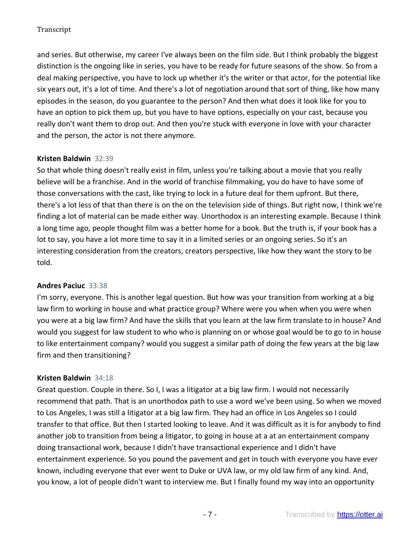and series. But otherwise, my career I've always been on the film side. But I think probably the biggest distinction is the ongoing like in series, you have to be ready for future seasons of the show. So from a deal making perspective, you have to lock up whether it's the writer or that actor, for the potential like six years out, it's a lot of time. And there's a lot of negotiation around that sort of thing, like how many episodes in the season, do you guarantee to the person? And then what does it look like for you to have an option to pick them up, but you have to have options, especially on your cast, because you really don't want them to drop out. And then you're stuck with everyone in love with your character and the person, the actor is not there anymore.

# **Kristen Baldwin** 32:39

So that whole thing doesn't really exist in film, unless you're talking about a movie that you really believe will be a franchise. And in the world of franchise filmmaking, you do have to have some of those conversations with the cast, like trying to lock in a future deal for them upfront. But there, there's a lot less of that than there is on the on the television side of things. But right now, I think we're finding a lot of material can be made either way. Unorthodox is an interesting example. Because I think a long time ago, people thought film was a better home for a book. But the truth is, if your book has a lot to say, you have a lot more time to say it in a limited series or an ongoing series. So it's an interesting consideration from the creators, creators perspective, like how they want the story to be told.

### **Andres Paciuc** 33:38

I'm sorry, everyone. This is another legal question. But how was your transition from working at a big law firm to working in house and what practice group? Where were you when when you were when you were at a big law firm? And have the skills that you learn at the law firm translate to in house? And would you suggest for law student to who who is planning on or whose goal would be to go to in house to like entertainment company? would you suggest a similar path of doing the few years at the big law firm and then transitioning?

### **Kristen Baldwin** 34:18

Great question. Couple in there. So I, I was a litigator at a big law firm. I would not necessarily recommend that path. That is an unorthodox path to use a word we've been using. So when we moved to Los Angeles, I was still a litigator at a big law firm. They had an office in Los Angeles so I could transfer to that office. But then I started looking to leave. And it was difficult as it is for anybody to find another job to transition from being a litigator, to going in house at a at an entertainment company doing transactional work, because I didn't have transactional experience and I didn't have entertainment experience. So you pound the pavement and get in touch with everyone you have ever known, including everyone that ever went to Duke or UVA law, or my old law firm of any kind. And, you know, a lot of people didn't want to interview me. But I finally found my way into an opportunity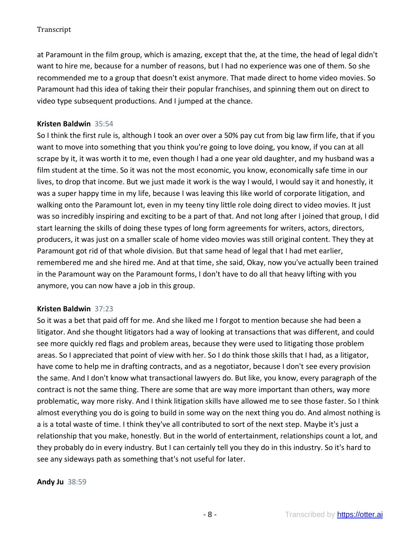at Paramount in the film group, which is amazing, except that the, at the time, the head of legal didn't want to hire me, because for a number of reasons, but I had no experience was one of them. So she recommended me to a group that doesn't exist anymore. That made direct to home video movies. So Paramount had this idea of taking their their popular franchises, and spinning them out on direct to video type subsequent productions. And I jumped at the chance.

# **Kristen Baldwin** 35:54

So I think the first rule is, although I took an over over a 50% pay cut from big law firm life, that if you want to move into something that you think you're going to love doing, you know, if you can at all scrape by it, it was worth it to me, even though I had a one year old daughter, and my husband was a film student at the time. So it was not the most economic, you know, economically safe time in our lives, to drop that income. But we just made it work is the way I would, I would say it and honestly, it was a super happy time in my life, because I was leaving this like world of corporate litigation, and walking onto the Paramount lot, even in my teeny tiny little role doing direct to video movies. It just was so incredibly inspiring and exciting to be a part of that. And not long after I joined that group, I did start learning the skills of doing these types of long form agreements for writers, actors, directors, producers, it was just on a smaller scale of home video movies was still original content. They they at Paramount got rid of that whole division. But that same head of legal that I had met earlier, remembered me and she hired me. And at that time, she said, Okay, now you've actually been trained in the Paramount way on the Paramount forms, I don't have to do all that heavy lifting with you anymore, you can now have a job in this group.

### **Kristen Baldwin** 37:23

So it was a bet that paid off for me. And she liked me I forgot to mention because she had been a litigator. And she thought litigators had a way of looking at transactions that was different, and could see more quickly red flags and problem areas, because they were used to litigating those problem areas. So I appreciated that point of view with her. So I do think those skills that I had, as a litigator, have come to help me in drafting contracts, and as a negotiator, because I don't see every provision the same. And I don't know what transactional lawyers do. But like, you know, every paragraph of the contract is not the same thing. There are some that are way more important than others, way more problematic, way more risky. And I think litigation skills have allowed me to see those faster. So I think almost everything you do is going to build in some way on the next thing you do. And almost nothing is a is a total waste of time. I think they've all contributed to sort of the next step. Maybe it's just a relationship that you make, honestly. But in the world of entertainment, relationships count a lot, and they probably do in every industry. But I can certainly tell you they do in this industry. So it's hard to see any sideways path as something that's not useful for later.

**Andy Ju** 38:59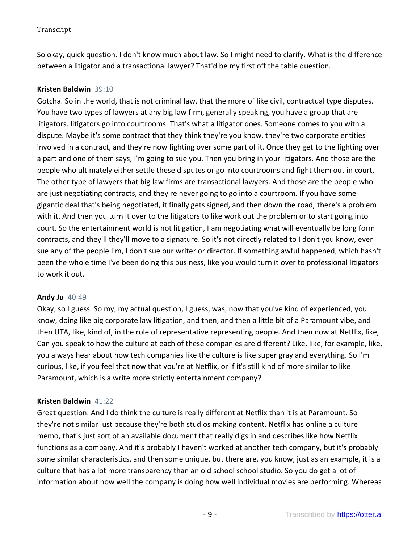So okay, quick question. I don't know much about law. So I might need to clarify. What is the difference between a litigator and a transactional lawyer? That'd be my first off the table question.

## **Kristen Baldwin** 39:10

Gotcha. So in the world, that is not criminal law, that the more of like civil, contractual type disputes. You have two types of lawyers at any big law firm, generally speaking, you have a group that are litigators. litigators go into courtrooms. That's what a litigator does. Someone comes to you with a dispute. Maybe it's some contract that they think they're you know, they're two corporate entities involved in a contract, and they're now fighting over some part of it. Once they get to the fighting over a part and one of them says, I'm going to sue you. Then you bring in your litigators. And those are the people who ultimately either settle these disputes or go into courtrooms and fight them out in court. The other type of lawyers that big law firms are transactional lawyers. And those are the people who are just negotiating contracts, and they're never going to go into a courtroom. If you have some gigantic deal that's being negotiated, it finally gets signed, and then down the road, there's a problem with it. And then you turn it over to the litigators to like work out the problem or to start going into court. So the entertainment world is not litigation, I am negotiating what will eventually be long form contracts, and they'll they'll move to a signature. So it's not directly related to I don't you know, ever sue any of the people I'm, I don't sue our writer or director. If something awful happened, which hasn't been the whole time I've been doing this business, like you would turn it over to professional litigators to work it out.

### **Andy Ju** 40:49

Okay, so I guess. So my, my actual question, I guess, was, now that you've kind of experienced, you know, doing like big corporate law litigation, and then, and then a little bit of a Paramount vibe, and then UTA, like, kind of, in the role of representative representing people. And then now at Netflix, like, Can you speak to how the culture at each of these companies are different? Like, like, for example, like, you always hear about how tech companies like the culture is like super gray and everything. So I'm curious, like, if you feel that now that you're at Netflix, or if it's still kind of more similar to like Paramount, which is a write more strictly entertainment company?

### **Kristen Baldwin** 41:22

Great question. And I do think the culture is really different at Netflix than it is at Paramount. So they're not similar just because they're both studios making content. Netflix has online a culture memo, that's just sort of an available document that really digs in and describes like how Netflix functions as a company. And it's probably I haven't worked at another tech company, but it's probably some similar characteristics, and then some unique, but there are, you know, just as an example, it is a culture that has a lot more transparency than an old school school studio. So you do get a lot of information about how well the company is doing how well individual movies are performing. Whereas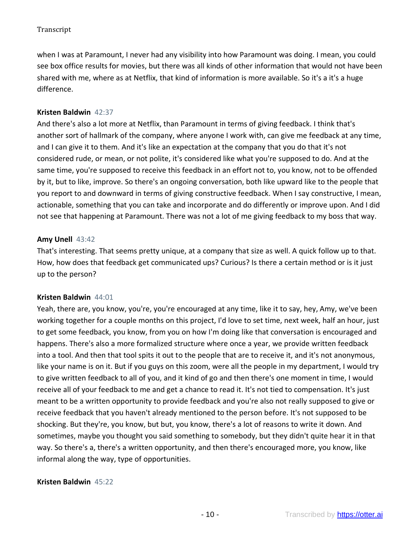when I was at Paramount, I never had any visibility into how Paramount was doing. I mean, you could see box office results for movies, but there was all kinds of other information that would not have been shared with me, where as at Netflix, that kind of information is more available. So it's a it's a huge difference.

# **Kristen Baldwin** 42:37

And there's also a lot more at Netflix, than Paramount in terms of giving feedback. I think that's another sort of hallmark of the company, where anyone I work with, can give me feedback at any time, and I can give it to them. And it's like an expectation at the company that you do that it's not considered rude, or mean, or not polite, it's considered like what you're supposed to do. And at the same time, you're supposed to receive this feedback in an effort not to, you know, not to be offended by it, but to like, improve. So there's an ongoing conversation, both like upward like to the people that you report to and downward in terms of giving constructive feedback. When I say constructive, I mean, actionable, something that you can take and incorporate and do differently or improve upon. And I did not see that happening at Paramount. There was not a lot of me giving feedback to my boss that way.

### **Amy Unell** 43:42

That's interesting. That seems pretty unique, at a company that size as well. A quick follow up to that. How, how does that feedback get communicated ups? Curious? Is there a certain method or is it just up to the person?

### **Kristen Baldwin** 44:01

Yeah, there are, you know, you're, you're encouraged at any time, like it to say, hey, Amy, we've been working together for a couple months on this project, I'd love to set time, next week, half an hour, just to get some feedback, you know, from you on how I'm doing like that conversation is encouraged and happens. There's also a more formalized structure where once a year, we provide written feedback into a tool. And then that tool spits it out to the people that are to receive it, and it's not anonymous, like your name is on it. But if you guys on this zoom, were all the people in my department, I would try to give written feedback to all of you, and it kind of go and then there's one moment in time, I would receive all of your feedback to me and get a chance to read it. It's not tied to compensation. It's just meant to be a written opportunity to provide feedback and you're also not really supposed to give or receive feedback that you haven't already mentioned to the person before. It's not supposed to be shocking. But they're, you know, but but, you know, there's a lot of reasons to write it down. And sometimes, maybe you thought you said something to somebody, but they didn't quite hear it in that way. So there's a, there's a written opportunity, and then there's encouraged more, you know, like informal along the way, type of opportunities.

### **Kristen Baldwin** 45:22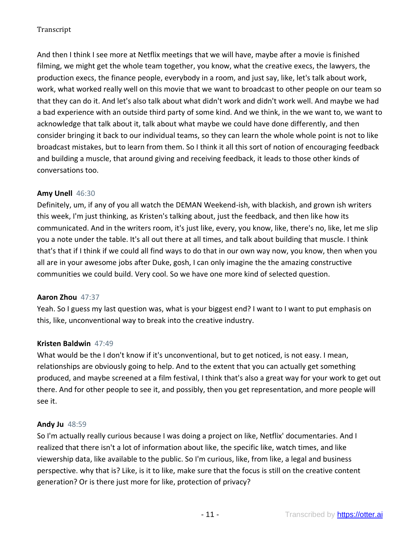And then I think I see more at Netflix meetings that we will have, maybe after a movie is finished filming, we might get the whole team together, you know, what the creative execs, the lawyers, the production execs, the finance people, everybody in a room, and just say, like, let's talk about work, work, what worked really well on this movie that we want to broadcast to other people on our team so that they can do it. And let's also talk about what didn't work and didn't work well. And maybe we had a bad experience with an outside third party of some kind. And we think, in the we want to, we want to acknowledge that talk about it, talk about what maybe we could have done differently, and then consider bringing it back to our individual teams, so they can learn the whole whole point is not to like broadcast mistakes, but to learn from them. So I think it all this sort of notion of encouraging feedback and building a muscle, that around giving and receiving feedback, it leads to those other kinds of conversations too.

# **Amy Unell** 46:30

Definitely, um, if any of you all watch the DEMAN Weekend-ish, with blackish, and grown ish writers this week, I'm just thinking, as Kristen's talking about, just the feedback, and then like how its communicated. And in the writers room, it's just like, every, you know, like, there's no, like, let me slip you a note under the table. It's all out there at all times, and talk about building that muscle. I think that's that if I think if we could all find ways to do that in our own way now, you know, then when you all are in your awesome jobs after Duke, gosh, I can only imagine the the amazing constructive communities we could build. Very cool. So we have one more kind of selected question.

### **Aaron Zhou** 47:37

Yeah. So I guess my last question was, what is your biggest end? I want to I want to put emphasis on this, like, unconventional way to break into the creative industry.

# **Kristen Baldwin** 47:49

What would be the I don't know if it's unconventional, but to get noticed, is not easy. I mean, relationships are obviously going to help. And to the extent that you can actually get something produced, and maybe screened at a film festival, I think that's also a great way for your work to get out there. And for other people to see it, and possibly, then you get representation, and more people will see it.

### **Andy Ju** 48:59

So I'm actually really curious because I was doing a project on like, Netflix' documentaries. And I realized that there isn't a lot of information about like, the specific like, watch times, and like viewership data, like available to the public. So I'm curious, like, from like, a legal and business perspective. why that is? Like, is it to like, make sure that the focus is still on the creative content generation? Or is there just more for like, protection of privacy?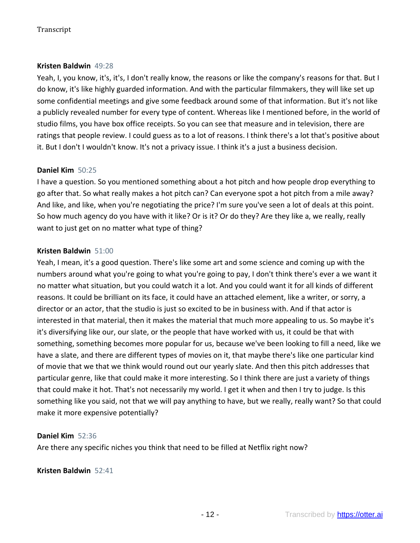### **Kristen Baldwin** 49:28

Yeah, I, you know, it's, it's, I don't really know, the reasons or like the company's reasons for that. But I do know, it's like highly guarded information. And with the particular filmmakers, they will like set up some confidential meetings and give some feedback around some of that information. But it's not like a publicly revealed number for every type of content. Whereas like I mentioned before, in the world of studio films, you have box office receipts. So you can see that measure and in television, there are ratings that people review. I could guess as to a lot of reasons. I think there's a lot that's positive about it. But I don't I wouldn't know. It's not a privacy issue. I think it's a just a business decision.

# **Daniel Kim** 50:25

I have a question. So you mentioned something about a hot pitch and how people drop everything to go after that. So what really makes a hot pitch can? Can everyone spot a hot pitch from a mile away? And like, and like, when you're negotiating the price? I'm sure you've seen a lot of deals at this point. So how much agency do you have with it like? Or is it? Or do they? Are they like a, we really, really want to just get on no matter what type of thing?

# **Kristen Baldwin** 51:00

Yeah, I mean, it's a good question. There's like some art and some science and coming up with the numbers around what you're going to what you're going to pay, I don't think there's ever a we want it no matter what situation, but you could watch it a lot. And you could want it for all kinds of different reasons. It could be brilliant on its face, it could have an attached element, like a writer, or sorry, a director or an actor, that the studio is just so excited to be in business with. And if that actor is interested in that material, then it makes the material that much more appealing to us. So maybe it's it's diversifying like our, our slate, or the people that have worked with us, it could be that with something, something becomes more popular for us, because we've been looking to fill a need, like we have a slate, and there are different types of movies on it, that maybe there's like one particular kind of movie that we that we think would round out our yearly slate. And then this pitch addresses that particular genre, like that could make it more interesting. So I think there are just a variety of things that could make it hot. That's not necessarily my world. I get it when and then I try to judge. Is this something like you said, not that we will pay anything to have, but we really, really want? So that could make it more expensive potentially?

### **Daniel Kim** 52:36

Are there any specific niches you think that need to be filled at Netflix right now?

**Kristen Baldwin** 52:41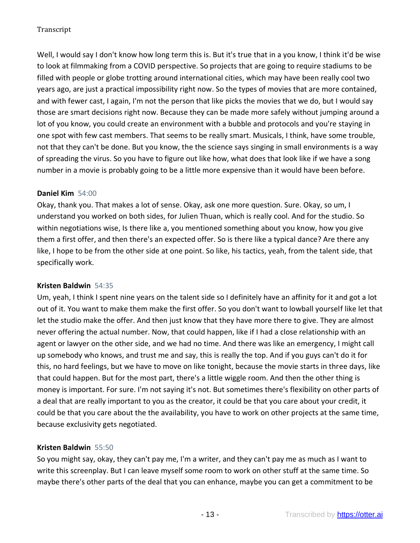Well, I would say I don't know how long term this is. But it's true that in a you know, I think it'd be wise to look at filmmaking from a COVID perspective. So projects that are going to require stadiums to be filled with people or globe trotting around international cities, which may have been really cool two years ago, are just a practical impossibility right now. So the types of movies that are more contained, and with fewer cast, I again, I'm not the person that like picks the movies that we do, but I would say those are smart decisions right now. Because they can be made more safely without jumping around a lot of you know, you could create an environment with a bubble and protocols and you're staying in one spot with few cast members. That seems to be really smart. Musicals, I think, have some trouble, not that they can't be done. But you know, the the science says singing in small environments is a way of spreading the virus. So you have to figure out like how, what does that look like if we have a song number in a movie is probably going to be a little more expensive than it would have been before.

### **Daniel Kim** 54:00

Okay, thank you. That makes a lot of sense. Okay, ask one more question. Sure. Okay, so um, I understand you worked on both sides, for Julien Thuan, which is really cool. And for the studio. So within negotiations wise, Is there like a, you mentioned something about you know, how you give them a first offer, and then there's an expected offer. So is there like a typical dance? Are there any like, I hope to be from the other side at one point. So like, his tactics, yeah, from the talent side, that specifically work.

### **Kristen Baldwin** 54:35

Um, yeah, I think I spent nine years on the talent side so I definitely have an affinity for it and got a lot out of it. You want to make them make the first offer. So you don't want to lowball yourself like let that let the studio make the offer. And then just know that they have more there to give. They are almost never offering the actual number. Now, that could happen, like if I had a close relationship with an agent or lawyer on the other side, and we had no time. And there was like an emergency, I might call up somebody who knows, and trust me and say, this is really the top. And if you guys can't do it for this, no hard feelings, but we have to move on like tonight, because the movie starts in three days, like that could happen. But for the most part, there's a little wiggle room. And then the other thing is money is important. For sure. I'm not saying it's not. But sometimes there's flexibility on other parts of a deal that are really important to you as the creator, it could be that you care about your credit, it could be that you care about the the availability, you have to work on other projects at the same time, because exclusivity gets negotiated.

# **Kristen Baldwin** 55:50

So you might say, okay, they can't pay me, I'm a writer, and they can't pay me as much as I want to write this screenplay. But I can leave myself some room to work on other stuff at the same time. So maybe there's other parts of the deal that you can enhance, maybe you can get a commitment to be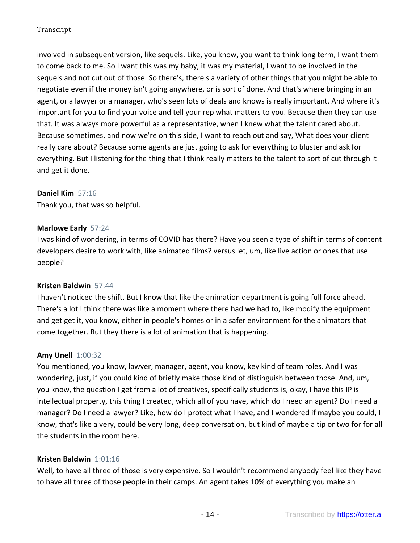involved in subsequent version, like sequels. Like, you know, you want to think long term, I want them to come back to me. So I want this was my baby, it was my material, I want to be involved in the sequels and not cut out of those. So there's, there's a variety of other things that you might be able to negotiate even if the money isn't going anywhere, or is sort of done. And that's where bringing in an agent, or a lawyer or a manager, who's seen lots of deals and knows is really important. And where it's important for you to find your voice and tell your rep what matters to you. Because then they can use that. It was always more powerful as a representative, when I knew what the talent cared about. Because sometimes, and now we're on this side, I want to reach out and say, What does your client really care about? Because some agents are just going to ask for everything to bluster and ask for everything. But I listening for the thing that I think really matters to the talent to sort of cut through it and get it done.

### **Daniel Kim** 57:16

Thank you, that was so helpful.

#### **Marlowe Early** 57:24

I was kind of wondering, in terms of COVID has there? Have you seen a type of shift in terms of content developers desire to work with, like animated films? versus let, um, like live action or ones that use people?

### **Kristen Baldwin** 57:44

I haven't noticed the shift. But I know that like the animation department is going full force ahead. There's a lot I think there was like a moment where there had we had to, like modify the equipment and get get it, you know, either in people's homes or in a safer environment for the animators that come together. But they there is a lot of animation that is happening.

#### **Amy Unell** 1:00:32

You mentioned, you know, lawyer, manager, agent, you know, key kind of team roles. And I was wondering, just, if you could kind of briefly make those kind of distinguish between those. And, um, you know, the question I get from a lot of creatives, specifically students is, okay, I have this IP is intellectual property, this thing I created, which all of you have, which do I need an agent? Do I need a manager? Do I need a lawyer? Like, how do I protect what I have, and I wondered if maybe you could, I know, that's like a very, could be very long, deep conversation, but kind of maybe a tip or two for for all the students in the room here.

#### **Kristen Baldwin** 1:01:16

Well, to have all three of those is very expensive. So I wouldn't recommend anybody feel like they have to have all three of those people in their camps. An agent takes 10% of everything you make an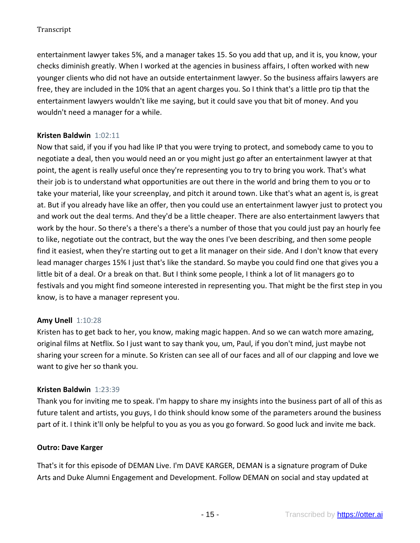entertainment lawyer takes 5%, and a manager takes 15. So you add that up, and it is, you know, your checks diminish greatly. When I worked at the agencies in business affairs, I often worked with new younger clients who did not have an outside entertainment lawyer. So the business affairs lawyers are free, they are included in the 10% that an agent charges you. So I think that's a little pro tip that the entertainment lawyers wouldn't like me saying, but it could save you that bit of money. And you wouldn't need a manager for a while.

# **Kristen Baldwin** 1:02:11

Now that said, if you if you had like IP that you were trying to protect, and somebody came to you to negotiate a deal, then you would need an or you might just go after an entertainment lawyer at that point, the agent is really useful once they're representing you to try to bring you work. That's what their job is to understand what opportunities are out there in the world and bring them to you or to take your material, like your screenplay, and pitch it around town. Like that's what an agent is, is great at. But if you already have like an offer, then you could use an entertainment lawyer just to protect you and work out the deal terms. And they'd be a little cheaper. There are also entertainment lawyers that work by the hour. So there's a there's a there's a number of those that you could just pay an hourly fee to like, negotiate out the contract, but the way the ones I've been describing, and then some people find it easiest, when they're starting out to get a lit manager on their side. And I don't know that every lead manager charges 15% I just that's like the standard. So maybe you could find one that gives you a little bit of a deal. Or a break on that. But I think some people, I think a lot of lit managers go to festivals and you might find someone interested in representing you. That might be the first step in you know, is to have a manager represent you.

# **Amy Unell** 1:10:28

Kristen has to get back to her, you know, making magic happen. And so we can watch more amazing, original films at Netflix. So I just want to say thank you, um, Paul, if you don't mind, just maybe not sharing your screen for a minute. So Kristen can see all of our faces and all of our clapping and love we want to give her so thank you.

### **Kristen Baldwin** 1:23:39

Thank you for inviting me to speak. I'm happy to share my insights into the business part of all of this as future talent and artists, you guys, I do think should know some of the parameters around the business part of it. I think it'll only be helpful to you as you as you go forward. So good luck and invite me back.

### **Outro: Dave Karger**

That's it for this episode of DEMAN Live. I'm DAVE KARGER, DEMAN is a signature program of Duke Arts and Duke Alumni Engagement and Development. Follow DEMAN on social and stay updated at